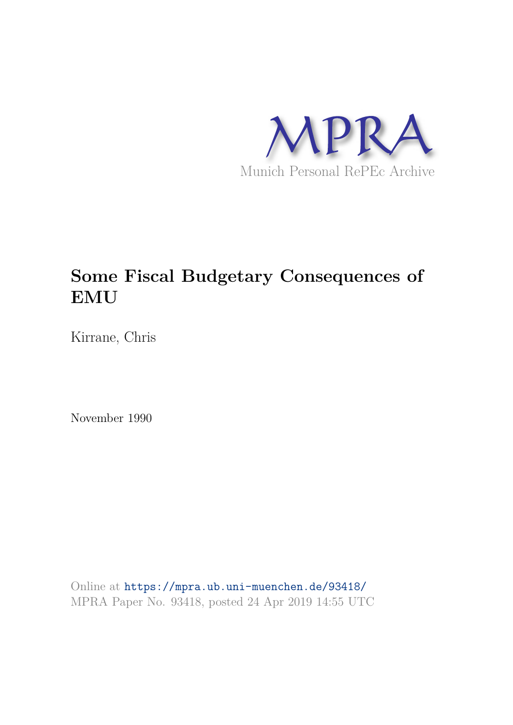

## **Some Fiscal Budgetary Consequences of EMU**

Kirrane, Chris

November 1990

Online at https://mpra.ub.uni-muenchen.de/93418/ MPRA Paper No. 93418, posted 24 Apr 2019 14:55 UTC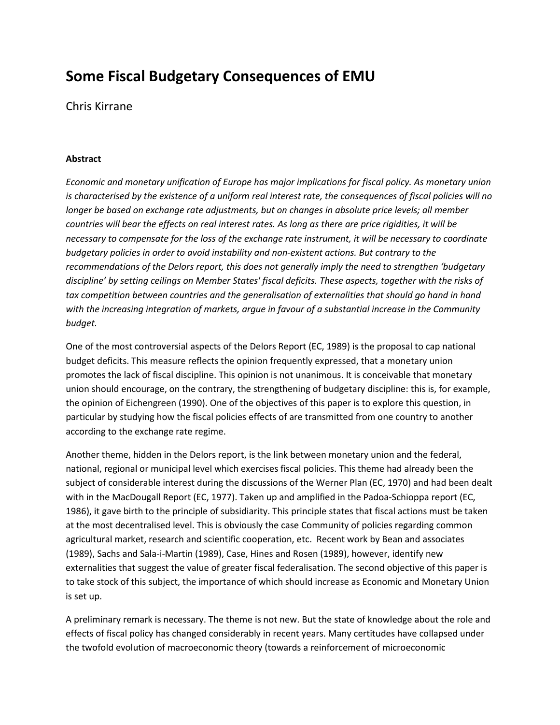## **Some Fiscal Budgetary Consequences of EMU**

Chris Kirrane

## **Abstract**

*Economic and monetary unification of Europe has major implications for fiscal policy. As monetary union is characterised by the existence of a uniform real interest rate, the consequences of fiscal policies will no longer be based on exchange rate adjustments, but on changes in absolute price levels; all member countries will bear the effects on real interest rates. As long as there are price rigidities, it will be necessary to compensate for the loss of the exchange rate instrument, it will be necessary to coordinate budgetary policies in order to avoid instability and non-existent actions. But contrary to the recommendations of the Delors report, this does not generally imply the need to strengthen 'budgetary discipline' by setting ceilings on Member States' fiscal deficits. These aspects, together with the risks of*  tax competition between countries and the generalisation of externalities that should go hand in hand *with the increasing integration of markets, argue in favour of a substantial increase in the Community budget.* 

One of the most controversial aspects of the Delors Report (EC, 1989) is the proposal to cap national budget deficits. This measure reflects the opinion frequently expressed, that a monetary union promotes the lack of fiscal discipline. This opinion is not unanimous. It is conceivable that monetary union should encourage, on the contrary, the strengthening of budgetary discipline: this is, for example, the opinion of Eichengreen (1990). One of the objectives of this paper is to explore this question, in particular by studying how the fiscal policies effects of are transmitted from one country to another according to the exchange rate regime.

Another theme, hidden in the Delors report, is the link between monetary union and the federal, national, regional or municipal level which exercises fiscal policies. This theme had already been the subject of considerable interest during the discussions of the Werner Plan (EC, 1970) and had been dealt with in the MacDougall Report (EC, 1977). Taken up and amplified in the Padoa-Schioppa report (EC, 1986), it gave birth to the principle of subsidiarity. This principle states that fiscal actions must be taken at the most decentralised level. This is obviously the case Community of policies regarding common agricultural market, research and scientific cooperation, etc. Recent work by Bean and associates (1989), Sachs and Sala-i-Martin (1989), Case, Hines and Rosen (1989), however, identify new externalities that suggest the value of greater fiscal federalisation. The second objective of this paper is to take stock of this subject, the importance of which should increase as Economic and Monetary Union is set up.

A preliminary remark is necessary. The theme is not new. But the state of knowledge about the role and effects of fiscal policy has changed considerably in recent years. Many certitudes have collapsed under the twofold evolution of macroeconomic theory (towards a reinforcement of microeconomic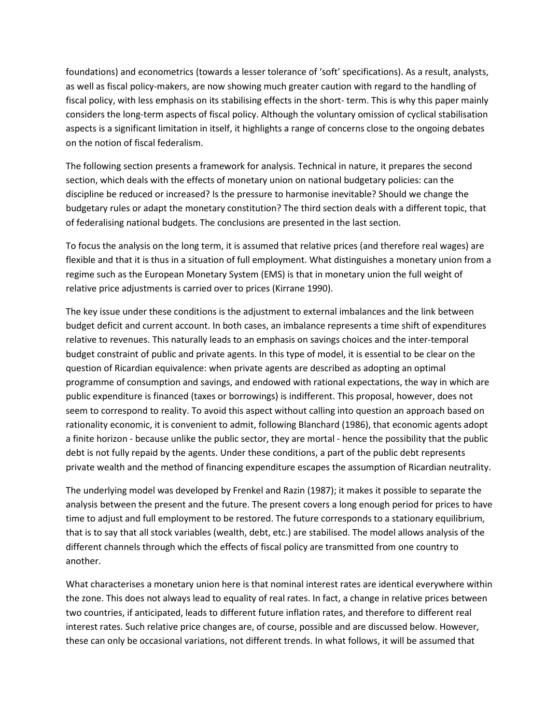foundations) and econometrics (towards a lesser tolerance of 'soft' specifications). As a result, analysts, as well as fiscal policy-makers, are now showing much greater caution with regard to the handling of fiscal policy, with less emphasis on its stabilising effects in the short- term. This is why this paper mainly considers the long-term aspects of fiscal policy. Although the voluntary omission of cyclical stabilisation aspects is a significant limitation in itself, it highlights a range of concerns close to the ongoing debates on the notion of fiscal federalism.

The following section presents a framework for analysis. Technical in nature, it prepares the second section, which deals with the effects of monetary union on national budgetary policies: can the discipline be reduced or increased? Is the pressure to harmonise inevitable? Should we change the budgetary rules or adapt the monetary constitution? The third section deals with a different topic, that of federalising national budgets. The conclusions are presented in the last section.

To focus the analysis on the long term, it is assumed that relative prices (and therefore real wages) are flexible and that it is thus in a situation of full employment. What distinguishes a monetary union from a regime such as the European Monetary System (EMS) is that in monetary union the full weight of relative price adjustments is carried over to prices (Kirrane 1990).

The key issue under these conditions is the adjustment to external imbalances and the link between budget deficit and current account. In both cases, an imbalance represents a time shift of expenditures relative to revenues. This naturally leads to an emphasis on savings choices and the inter-temporal budget constraint of public and private agents. In this type of model, it is essential to be clear on the question of Ricardian equivalence: when private agents are described as adopting an optimal programme of consumption and savings, and endowed with rational expectations, the way in which are public expenditure is financed (taxes or borrowings) is indifferent. This proposal, however, does not seem to correspond to reality. To avoid this aspect without calling into question an approach based on rationality economic, it is convenient to admit, following Blanchard (1986), that economic agents adopt a finite horizon - because unlike the public sector, they are mortal - hence the possibility that the public debt is not fully repaid by the agents. Under these conditions, a part of the public debt represents private wealth and the method of financing expenditure escapes the assumption of Ricardian neutrality.

The underlying model was developed by Frenkel and Razin (1987); it makes it possible to separate the analysis between the present and the future. The present covers a long enough period for prices to have time to adjust and full employment to be restored. The future corresponds to a stationary equilibrium, that is to say that all stock variables (wealth, debt, etc.) are stabilised. The model allows analysis of the different channels through which the effects of fiscal policy are transmitted from one country to another.

What characterises a monetary union here is that nominal interest rates are identical everywhere within the zone. This does not always lead to equality of real rates. In fact, a change in relative prices between two countries, if anticipated, leads to different future inflation rates, and therefore to different real interest rates. Such relative price changes are, of course, possible and are discussed below. However, these can only be occasional variations, not different trends. In what follows, it will be assumed that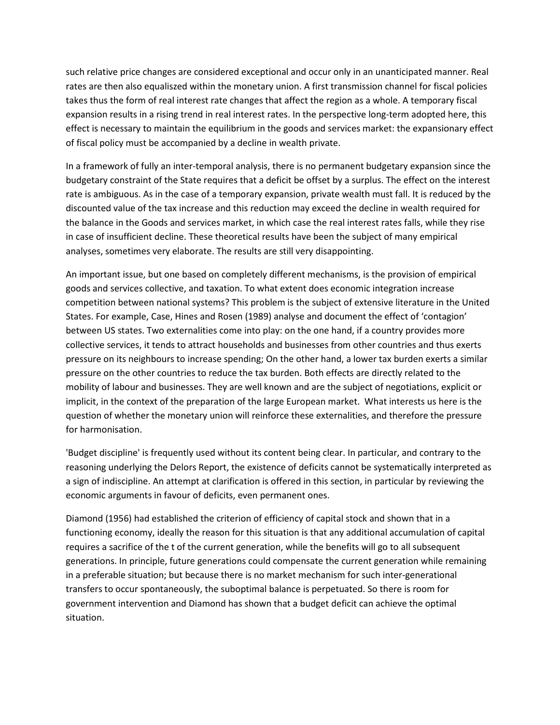such relative price changes are considered exceptional and occur only in an unanticipated manner. Real rates are then also equaliszed within the monetary union. A first transmission channel for fiscal policies takes thus the form of real interest rate changes that affect the region as a whole. A temporary fiscal expansion results in a rising trend in real interest rates. In the perspective long-term adopted here, this effect is necessary to maintain the equilibrium in the goods and services market: the expansionary effect of fiscal policy must be accompanied by a decline in wealth private.

In a framework of fully an inter-temporal analysis, there is no permanent budgetary expansion since the budgetary constraint of the State requires that a deficit be offset by a surplus. The effect on the interest rate is ambiguous. As in the case of a temporary expansion, private wealth must fall. It is reduced by the discounted value of the tax increase and this reduction may exceed the decline in wealth required for the balance in the Goods and services market, in which case the real interest rates falls, while they rise in case of insufficient decline. These theoretical results have been the subject of many empirical analyses, sometimes very elaborate. The results are still very disappointing.

An important issue, but one based on completely different mechanisms, is the provision of empirical goods and services collective, and taxation. To what extent does economic integration increase competition between national systems? This problem is the subject of extensive literature in the United States. For example, Case, Hines and Rosen (1989) analyse and document the effect of 'contagion' between US states. Two externalities come into play: on the one hand, if a country provides more collective services, it tends to attract households and businesses from other countries and thus exerts pressure on its neighbours to increase spending; On the other hand, a lower tax burden exerts a similar pressure on the other countries to reduce the tax burden. Both effects are directly related to the mobility of labour and businesses. They are well known and are the subject of negotiations, explicit or implicit, in the context of the preparation of the large European market. What interests us here is the question of whether the monetary union will reinforce these externalities, and therefore the pressure for harmonisation.

'Budget discipline' is frequently used without its content being clear. In particular, and contrary to the reasoning underlying the Delors Report, the existence of deficits cannot be systematically interpreted as a sign of indiscipline. An attempt at clarification is offered in this section, in particular by reviewing the economic arguments in favour of deficits, even permanent ones.

Diamond (1956) had established the criterion of efficiency of capital stock and shown that in a functioning economy, ideally the reason for this situation is that any additional accumulation of capital requires a sacrifice of the t of the current generation, while the benefits will go to all subsequent generations. In principle, future generations could compensate the current generation while remaining in a preferable situation; but because there is no market mechanism for such inter-generational transfers to occur spontaneously, the suboptimal balance is perpetuated. So there is room for government intervention and Diamond has shown that a budget deficit can achieve the optimal situation.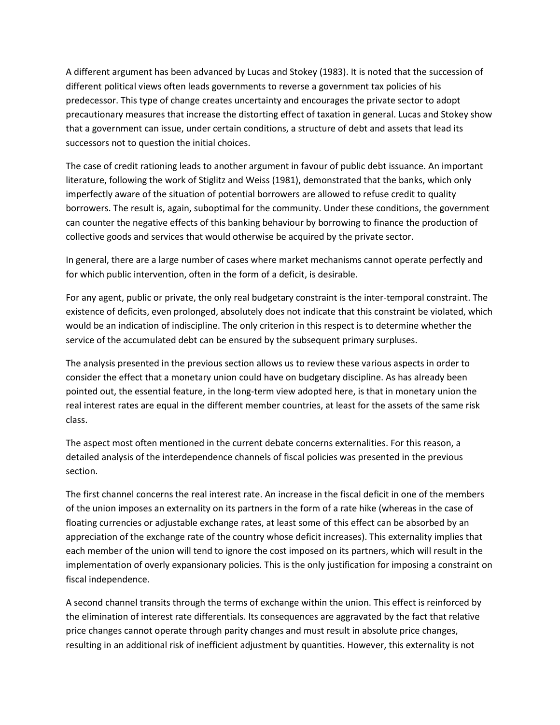A different argument has been advanced by Lucas and Stokey (1983). It is noted that the succession of different political views often leads governments to reverse a government tax policies of his predecessor. This type of change creates uncertainty and encourages the private sector to adopt precautionary measures that increase the distorting effect of taxation in general. Lucas and Stokey show that a government can issue, under certain conditions, a structure of debt and assets that lead its successors not to question the initial choices.

The case of credit rationing leads to another argument in favour of public debt issuance. An important literature, following the work of Stiglitz and Weiss (1981), demonstrated that the banks, which only imperfectly aware of the situation of potential borrowers are allowed to refuse credit to quality borrowers. The result is, again, suboptimal for the community. Under these conditions, the government can counter the negative effects of this banking behaviour by borrowing to finance the production of collective goods and services that would otherwise be acquired by the private sector.

In general, there are a large number of cases where market mechanisms cannot operate perfectly and for which public intervention, often in the form of a deficit, is desirable.

For any agent, public or private, the only real budgetary constraint is the inter-temporal constraint. The existence of deficits, even prolonged, absolutely does not indicate that this constraint be violated, which would be an indication of indiscipline. The only criterion in this respect is to determine whether the service of the accumulated debt can be ensured by the subsequent primary surpluses.

The analysis presented in the previous section allows us to review these various aspects in order to consider the effect that a monetary union could have on budgetary discipline. As has already been pointed out, the essential feature, in the long-term view adopted here, is that in monetary union the real interest rates are equal in the different member countries, at least for the assets of the same risk class.

The aspect most often mentioned in the current debate concerns externalities. For this reason, a detailed analysis of the interdependence channels of fiscal policies was presented in the previous section.

The first channel concerns the real interest rate. An increase in the fiscal deficit in one of the members of the union imposes an externality on its partners in the form of a rate hike (whereas in the case of floating currencies or adjustable exchange rates, at least some of this effect can be absorbed by an appreciation of the exchange rate of the country whose deficit increases). This externality implies that each member of the union will tend to ignore the cost imposed on its partners, which will result in the implementation of overly expansionary policies. This is the only justification for imposing a constraint on fiscal independence.

A second channel transits through the terms of exchange within the union. This effect is reinforced by the elimination of interest rate differentials. Its consequences are aggravated by the fact that relative price changes cannot operate through parity changes and must result in absolute price changes, resulting in an additional risk of inefficient adjustment by quantities. However, this externality is not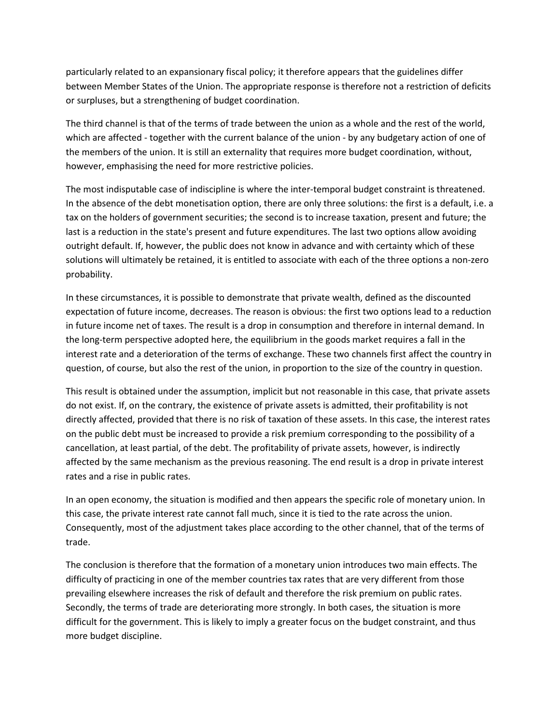particularly related to an expansionary fiscal policy; it therefore appears that the guidelines differ between Member States of the Union. The appropriate response is therefore not a restriction of deficits or surpluses, but a strengthening of budget coordination.

The third channel is that of the terms of trade between the union as a whole and the rest of the world, which are affected - together with the current balance of the union - by any budgetary action of one of the members of the union. It is still an externality that requires more budget coordination, without, however, emphasising the need for more restrictive policies.

The most indisputable case of indiscipline is where the inter-temporal budget constraint is threatened. In the absence of the debt monetisation option, there are only three solutions: the first is a default, i.e. a tax on the holders of government securities; the second is to increase taxation, present and future; the last is a reduction in the state's present and future expenditures. The last two options allow avoiding outright default. If, however, the public does not know in advance and with certainty which of these solutions will ultimately be retained, it is entitled to associate with each of the three options a non-zero probability.

In these circumstances, it is possible to demonstrate that private wealth, defined as the discounted expectation of future income, decreases. The reason is obvious: the first two options lead to a reduction in future income net of taxes. The result is a drop in consumption and therefore in internal demand. In the long-term perspective adopted here, the equilibrium in the goods market requires a fall in the interest rate and a deterioration of the terms of exchange. These two channels first affect the country in question, of course, but also the rest of the union, in proportion to the size of the country in question.

This result is obtained under the assumption, implicit but not reasonable in this case, that private assets do not exist. If, on the contrary, the existence of private assets is admitted, their profitability is not directly affected, provided that there is no risk of taxation of these assets. In this case, the interest rates on the public debt must be increased to provide a risk premium corresponding to the possibility of a cancellation, at least partial, of the debt. The profitability of private assets, however, is indirectly affected by the same mechanism as the previous reasoning. The end result is a drop in private interest rates and a rise in public rates.

In an open economy, the situation is modified and then appears the specific role of monetary union. In this case, the private interest rate cannot fall much, since it is tied to the rate across the union. Consequently, most of the adjustment takes place according to the other channel, that of the terms of trade.

The conclusion is therefore that the formation of a monetary union introduces two main effects. The difficulty of practicing in one of the member countries tax rates that are very different from those prevailing elsewhere increases the risk of default and therefore the risk premium on public rates. Secondly, the terms of trade are deteriorating more strongly. In both cases, the situation is more difficult for the government. This is likely to imply a greater focus on the budget constraint, and thus more budget discipline.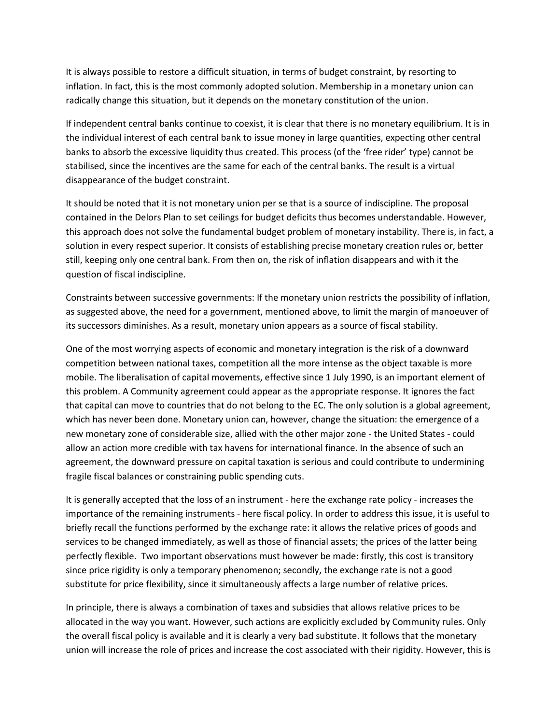It is always possible to restore a difficult situation, in terms of budget constraint, by resorting to inflation. In fact, this is the most commonly adopted solution. Membership in a monetary union can radically change this situation, but it depends on the monetary constitution of the union.

If independent central banks continue to coexist, it is clear that there is no monetary equilibrium. It is in the individual interest of each central bank to issue money in large quantities, expecting other central banks to absorb the excessive liquidity thus created. This process (of the 'free rider' type) cannot be stabilised, since the incentives are the same for each of the central banks. The result is a virtual disappearance of the budget constraint.

It should be noted that it is not monetary union per se that is a source of indiscipline. The proposal contained in the Delors Plan to set ceilings for budget deficits thus becomes understandable. However, this approach does not solve the fundamental budget problem of monetary instability. There is, in fact, a solution in every respect superior. It consists of establishing precise monetary creation rules or, better still, keeping only one central bank. From then on, the risk of inflation disappears and with it the question of fiscal indiscipline.

Constraints between successive governments: If the monetary union restricts the possibility of inflation, as suggested above, the need for a government, mentioned above, to limit the margin of manoeuver of its successors diminishes. As a result, monetary union appears as a source of fiscal stability.

One of the most worrying aspects of economic and monetary integration is the risk of a downward competition between national taxes, competition all the more intense as the object taxable is more mobile. The liberalisation of capital movements, effective since 1 July 1990, is an important element of this problem. A Community agreement could appear as the appropriate response. It ignores the fact that capital can move to countries that do not belong to the EC. The only solution is a global agreement, which has never been done. Monetary union can, however, change the situation: the emergence of a new monetary zone of considerable size, allied with the other major zone - the United States - could allow an action more credible with tax havens for international finance. In the absence of such an agreement, the downward pressure on capital taxation is serious and could contribute to undermining fragile fiscal balances or constraining public spending cuts.

It is generally accepted that the loss of an instrument - here the exchange rate policy - increases the importance of the remaining instruments - here fiscal policy. In order to address this issue, it is useful to briefly recall the functions performed by the exchange rate: it allows the relative prices of goods and services to be changed immediately, as well as those of financial assets; the prices of the latter being perfectly flexible. Two important observations must however be made: firstly, this cost is transitory since price rigidity is only a temporary phenomenon; secondly, the exchange rate is not a good substitute for price flexibility, since it simultaneously affects a large number of relative prices.

In principle, there is always a combination of taxes and subsidies that allows relative prices to be allocated in the way you want. However, such actions are explicitly excluded by Community rules. Only the overall fiscal policy is available and it is clearly a very bad substitute. It follows that the monetary union will increase the role of prices and increase the cost associated with their rigidity. However, this is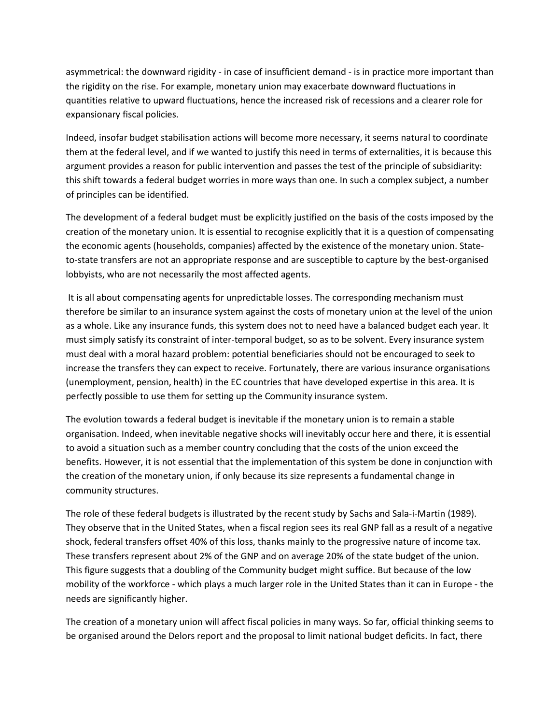asymmetrical: the downward rigidity - in case of insufficient demand - is in practice more important than the rigidity on the rise. For example, monetary union may exacerbate downward fluctuations in quantities relative to upward fluctuations, hence the increased risk of recessions and a clearer role for expansionary fiscal policies.

Indeed, insofar budget stabilisation actions will become more necessary, it seems natural to coordinate them at the federal level, and if we wanted to justify this need in terms of externalities, it is because this argument provides a reason for public intervention and passes the test of the principle of subsidiarity: this shift towards a federal budget worries in more ways than one. In such a complex subject, a number of principles can be identified.

The development of a federal budget must be explicitly justified on the basis of the costs imposed by the creation of the monetary union. It is essential to recognise explicitly that it is a question of compensating the economic agents (households, companies) affected by the existence of the monetary union. Stateto-state transfers are not an appropriate response and are susceptible to capture by the best-organised lobbyists, who are not necessarily the most affected agents.

It is all about compensating agents for unpredictable losses. The corresponding mechanism must therefore be similar to an insurance system against the costs of monetary union at the level of the union as a whole. Like any insurance funds, this system does not to need have a balanced budget each year. It must simply satisfy its constraint of inter-temporal budget, so as to be solvent. Every insurance system must deal with a moral hazard problem: potential beneficiaries should not be encouraged to seek to increase the transfers they can expect to receive. Fortunately, there are various insurance organisations (unemployment, pension, health) in the EC countries that have developed expertise in this area. It is perfectly possible to use them for setting up the Community insurance system.

The evolution towards a federal budget is inevitable if the monetary union is to remain a stable organisation. Indeed, when inevitable negative shocks will inevitably occur here and there, it is essential to avoid a situation such as a member country concluding that the costs of the union exceed the benefits. However, it is not essential that the implementation of this system be done in conjunction with the creation of the monetary union, if only because its size represents a fundamental change in community structures.

The role of these federal budgets is illustrated by the recent study by Sachs and Sala-i-Martin (1989). They observe that in the United States, when a fiscal region sees its real GNP fall as a result of a negative shock, federal transfers offset 40% of this loss, thanks mainly to the progressive nature of income tax. These transfers represent about 2% of the GNP and on average 20% of the state budget of the union. This figure suggests that a doubling of the Community budget might suffice. But because of the low mobility of the workforce - which plays a much larger role in the United States than it can in Europe - the needs are significantly higher.

The creation of a monetary union will affect fiscal policies in many ways. So far, official thinking seems to be organised around the Delors report and the proposal to limit national budget deficits. In fact, there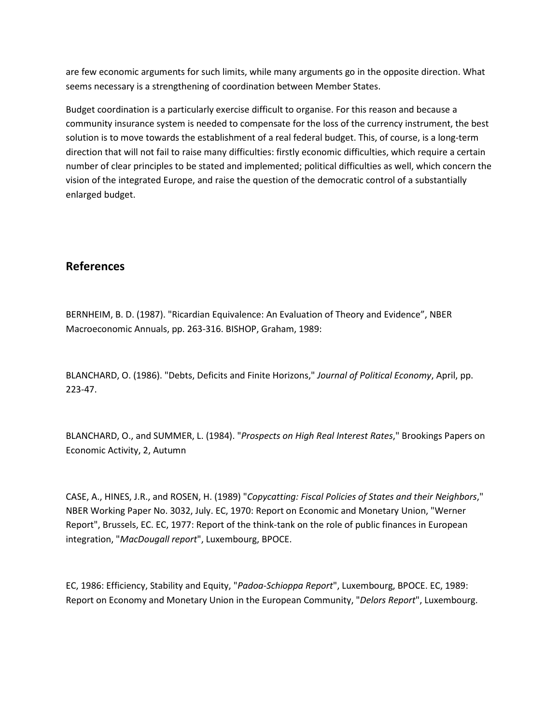are few economic arguments for such limits, while many arguments go in the opposite direction. What seems necessary is a strengthening of coordination between Member States.

Budget coordination is a particularly exercise difficult to organise. For this reason and because a community insurance system is needed to compensate for the loss of the currency instrument, the best solution is to move towards the establishment of a real federal budget. This, of course, is a long-term direction that will not fail to raise many difficulties: firstly economic difficulties, which require a certain number of clear principles to be stated and implemented; political difficulties as well, which concern the vision of the integrated Europe, and raise the question of the democratic control of a substantially enlarged budget.

## **References**

BERNHEIM, B. D. (1987). "Ricardian Equivalence: An Evaluation of Theory and Evidence", NBER Macroeconomic Annuals, pp. 263-316. BISHOP, Graham, 1989:

BLANCHARD, O. (1986). "Debts, Deficits and Finite Horizons," *Journal of Political Economy*, April, pp. 223-47.

BLANCHARD, O., and SUMMER, L. (1984). "*Prospects on High Real Interest Rates*," Brookings Papers on Economic Activity, 2, Autumn

CASE, A., HINES, J.R., and ROSEN, H. (1989) "*Copycatting: Fiscal Policies of States and their Neighbors*," NBER Working Paper No. 3032, July. EC, 1970: Report on Economic and Monetary Union, "Werner Report", Brussels, EC. EC, 1977: Report of the think-tank on the role of public finances in European integration, "*MacDougall report*", Luxembourg, BPOCE.

EC, 1986: Efficiency, Stability and Equity, "*Padoa-Schioppa Report*", Luxembourg, BPOCE. EC, 1989: Report on Economy and Monetary Union in the European Community, "*Delors Report*", Luxembourg.